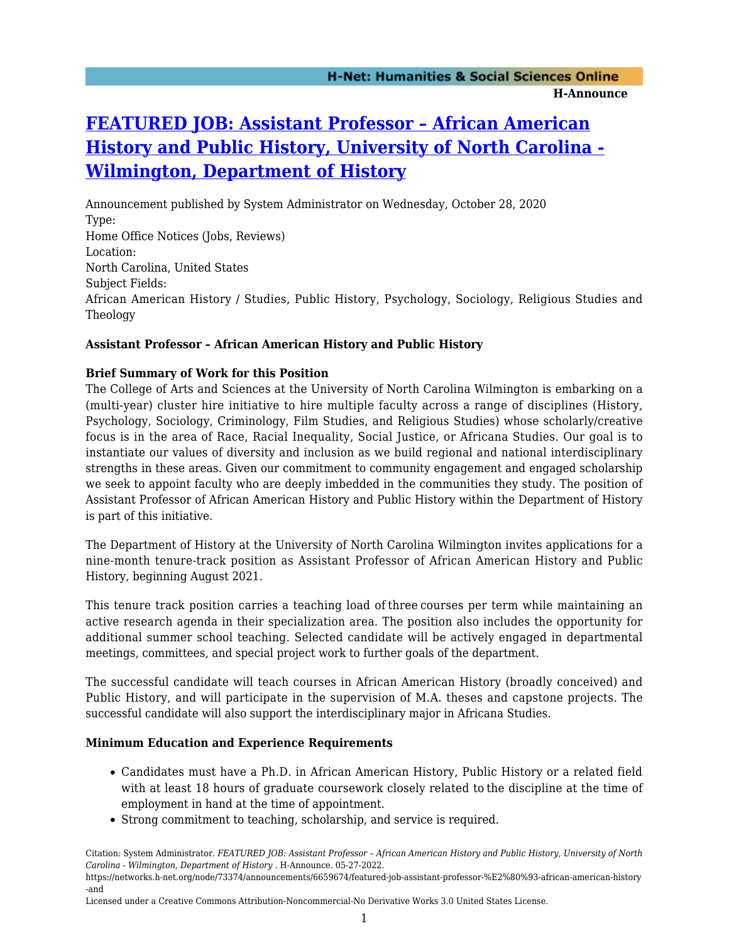# **[FEATURED JOB: Assistant Professor – African American](https://networks.h-net.org/node/73374/announcements/6659674/featured-job-assistant-professor-%E2%80%93-african-american-history-and) [History and Public History, University of North Carolina -](https://networks.h-net.org/node/73374/announcements/6659674/featured-job-assistant-professor-%E2%80%93-african-american-history-and) [Wilmington, Department of History](https://networks.h-net.org/node/73374/announcements/6659674/featured-job-assistant-professor-%E2%80%93-african-american-history-and)**

Announcement published by System Administrator on Wednesday, October 28, 2020 Type: Home Office Notices (Jobs, Reviews) Location: North Carolina, United States Subject Fields: African American History / Studies, Public History, Psychology, Sociology, Religious Studies and Theology

# **Assistant Professor – African American History and Public History**

## **Brief Summary of Work for this Position**

The College of Arts and Sciences at the University of North Carolina Wilmington is embarking on a (multi-year) cluster hire initiative to hire multiple faculty across a range of disciplines (History, Psychology, Sociology, Criminology, Film Studies, and Religious Studies) whose scholarly/creative focus is in the area of Race, Racial Inequality, Social Justice, or Africana Studies. Our goal is to instantiate our values of diversity and inclusion as we build regional and national interdisciplinary strengths in these areas. Given our commitment to community engagement and engaged scholarship we seek to appoint faculty who are deeply imbedded in the communities they study. The position of Assistant Professor of African American History and Public History within the Department of History is part of this initiative.

The Department of History at the University of North Carolina Wilmington invites applications for a nine-month tenure-track position as Assistant Professor of African American History and Public History, beginning August 2021.

This tenure track position carries a teaching load of three courses per term while maintaining an active research agenda in their specialization area. The position also includes the opportunity for additional summer school teaching. Selected candidate will be actively engaged in departmental meetings, committees, and special project work to further goals of the department.

The successful candidate will teach courses in African American History (broadly conceived) and Public History, and will participate in the supervision of M.A. theses and capstone projects. The successful candidate will also support the interdisciplinary major in Africana Studies.

## **Minimum Education and Experience Requirements**

- Candidates must have a Ph.D. in African American History, Public History or a related field with at least 18 hours of graduate coursework closely related to the discipline at the time of employment in hand at the time of appointment.
- Strong commitment to teaching, scholarship, and service is required.

Citation: System Administrator. *FEATURED JOB: Assistant Professor – African American History and Public History, University of North Carolina - Wilmington, Department of History* . H-Announce. 05-27-2022.

Licensed under a Creative Commons Attribution-Noncommercial-No Derivative Works 3.0 United States License.

https://networks.h-net.org/node/73374/announcements/6659674/featured-job-assistant-professor-%E2%80%93-african-american-history -and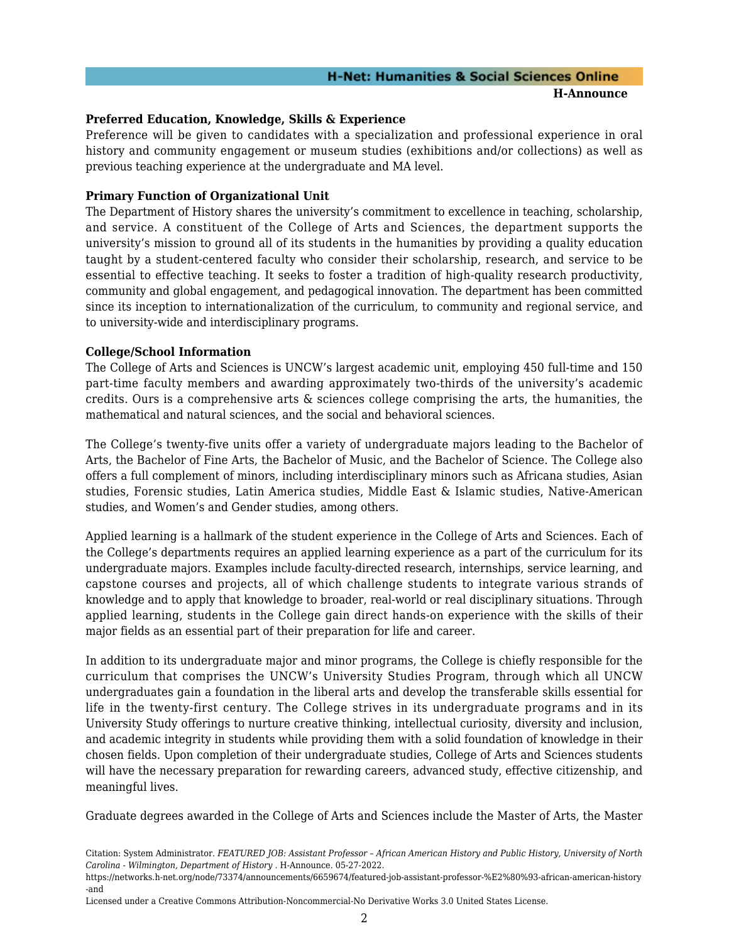## **H-Net: Humanities & Social Sciences Online H-Announce**

#### **Preferred Education, Knowledge, Skills & Experience**

Preference will be given to candidates with a specialization and professional experience in oral history and community engagement or museum studies (exhibitions and/or collections) as well as previous teaching experience at the undergraduate and MA level.

## **Primary Function of Organizational Unit**

The Department of History shares the university's commitment to excellence in teaching, scholarship, and service. A constituent of the College of Arts and Sciences, the department supports the university's mission to ground all of its students in the humanities by providing a quality education taught by a student-centered faculty who consider their scholarship, research, and service to be essential to effective teaching. It seeks to foster a tradition of high-quality research productivity, community and global engagement, and pedagogical innovation. The department has been committed since its inception to internationalization of the curriculum, to community and regional service, and to university-wide and interdisciplinary programs.

#### **College/School Information**

The College of Arts and Sciences is UNCW's largest academic unit, employing 450 full-time and 150 part-time faculty members and awarding approximately two-thirds of the university's academic credits. Ours is a comprehensive arts & sciences college comprising the arts, the humanities, the mathematical and natural sciences, and the social and behavioral sciences.

The College's twenty-five units offer a variety of undergraduate majors leading to the Bachelor of Arts, the Bachelor of Fine Arts, the Bachelor of Music, and the Bachelor of Science. The College also offers a full complement of minors, including interdisciplinary minors such as Africana studies, Asian studies, Forensic studies, Latin America studies, Middle East & Islamic studies, Native-American studies, and Women's and Gender studies, among others.

Applied learning is a hallmark of the student experience in the College of Arts and Sciences. Each of the College's departments requires an applied learning experience as a part of the curriculum for its undergraduate majors. Examples include faculty-directed research, internships, service learning, and capstone courses and projects, all of which challenge students to integrate various strands of knowledge and to apply that knowledge to broader, real-world or real disciplinary situations. Through applied learning, students in the College gain direct hands-on experience with the skills of their major fields as an essential part of their preparation for life and career.

In addition to its undergraduate major and minor programs, the College is chiefly responsible for the curriculum that comprises the UNCW's University Studies Program, through which all UNCW undergraduates gain a foundation in the liberal arts and develop the transferable skills essential for life in the twenty-first century. The College strives in its undergraduate programs and in its University Study offerings to nurture creative thinking, intellectual curiosity, diversity and inclusion, and academic integrity in students while providing them with a solid foundation of knowledge in their chosen fields. Upon completion of their undergraduate studies, College of Arts and Sciences students will have the necessary preparation for rewarding careers, advanced study, effective citizenship, and meaningful lives.

Graduate degrees awarded in the College of Arts and Sciences include the Master of Arts, the Master

Citation: System Administrator. *FEATURED JOB: Assistant Professor – African American History and Public History, University of North Carolina - Wilmington, Department of History* . H-Announce. 05-27-2022.

https://networks.h-net.org/node/73374/announcements/6659674/featured-job-assistant-professor-%E2%80%93-african-american-history -and

Licensed under a Creative Commons Attribution-Noncommercial-No Derivative Works 3.0 United States License.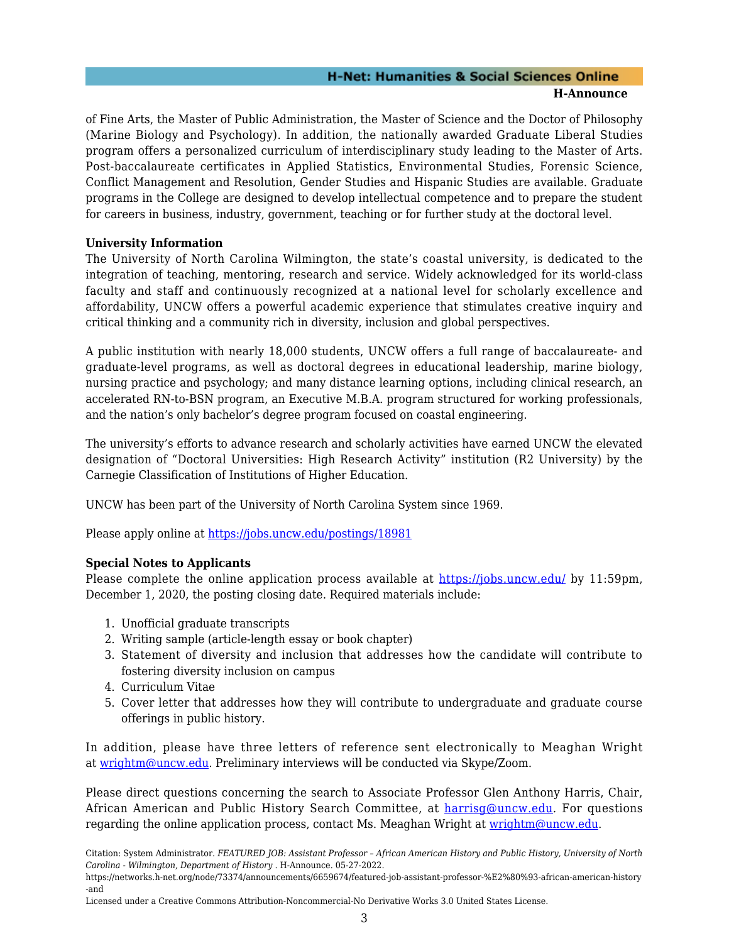# **H-Net: Humanities & Social Sciences Online H-Announce**

of Fine Arts, the Master of Public Administration, the Master of Science and the Doctor of Philosophy (Marine Biology and Psychology). In addition, the nationally awarded Graduate Liberal Studies program offers a personalized curriculum of interdisciplinary study leading to the Master of Arts. Post-baccalaureate certificates in Applied Statistics, Environmental Studies, Forensic Science, Conflict Management and Resolution, Gender Studies and Hispanic Studies are available. Graduate programs in the College are designed to develop intellectual competence and to prepare the student for careers in business, industry, government, teaching or for further study at the doctoral level.

# **University Information**

The University of North Carolina Wilmington, the state's coastal university, is dedicated to the integration of teaching, mentoring, research and service. Widely acknowledged for its world-class faculty and staff and continuously recognized at a national level for scholarly excellence and affordability, UNCW offers a powerful academic experience that stimulates creative inquiry and critical thinking and a community rich in diversity, inclusion and global perspectives.

A public institution with nearly 18,000 students, UNCW offers a full range of baccalaureate- and graduate-level programs, as well as doctoral degrees in educational leadership, marine biology, nursing practice and psychology; and many distance learning options, including clinical research, an accelerated RN-to-BSN program, an Executive M.B.A. program structured for working professionals, and the nation's only bachelor's degree program focused on coastal engineering.

The university's efforts to advance research and scholarly activities have earned UNCW the elevated designation of "Doctoral Universities: High Research Activity" institution (R2 University) by the Carnegie Classification of Institutions of Higher Education.

UNCW has been part of the University of North Carolina System since 1969.

Please apply online at <https://jobs.uncw.edu/postings/18981>

# **Special Notes to Applicants**

Please complete the online application process available at <https://jobs.uncw.edu/> by 11:59pm, December 1, 2020, the posting closing date. Required materials include:

- 1. Unofficial graduate transcripts
- 2. Writing sample (article-length essay or book chapter)
- 3. Statement of diversity and inclusion that addresses how the candidate will contribute to fostering diversity inclusion on campus
- 4. Curriculum Vitae
- 5. Cover letter that addresses how they will contribute to undergraduate and graduate course offerings in public history.

In addition, please have three letters of reference sent electronically to Meaghan Wright at [wrightm@uncw.edu](mailto:wrightm@uncw.edu). Preliminary interviews will be conducted via Skype/Zoom.

Please direct questions concerning the search to Associate Professor Glen Anthony Harris, Chair, African American and Public History Search Committee, at [harrisg@uncw.edu.](mailto:harrisg@uncw.edu) For questions regarding the online application process, contact Ms. Meaghan Wright at [wrightm@uncw.edu.](mailto:wrightm@uncw.edu)

Licensed under a Creative Commons Attribution-Noncommercial-No Derivative Works 3.0 United States License.

Citation: System Administrator. *FEATURED JOB: Assistant Professor – African American History and Public History, University of North Carolina - Wilmington, Department of History* . H-Announce. 05-27-2022.

https://networks.h-net.org/node/73374/announcements/6659674/featured-job-assistant-professor-%E2%80%93-african-american-history -and